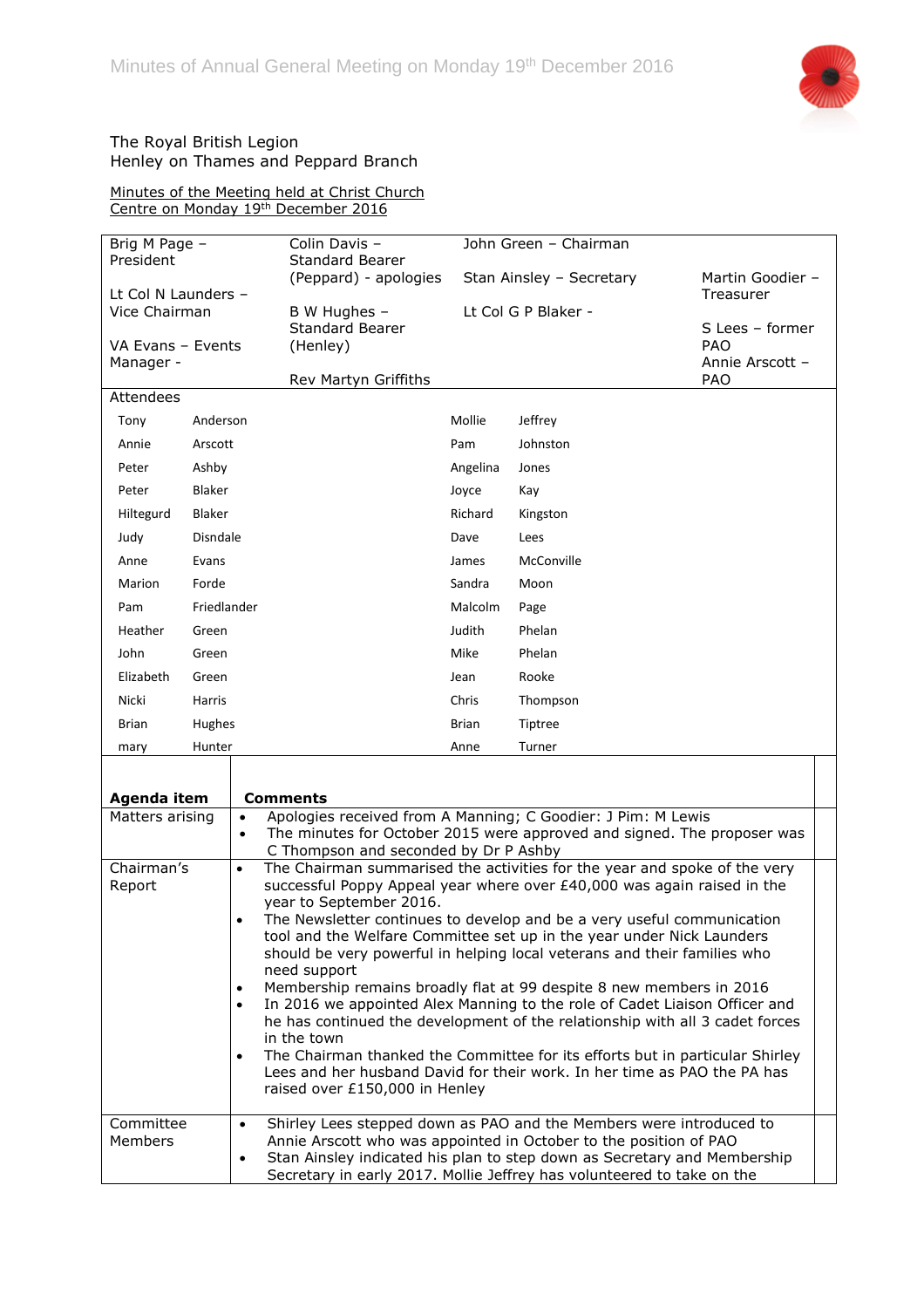

## The Royal British Legion Henley on Thames and Peppard Branch

Minutes of the Meeting held at Christ Church Centre on Monday 19th December 2016

| Brig M Page -<br>President                |                 | Colin Davis -<br><b>Standard Bearer</b>                                                                            | John Green - Chairman                                                                                                                                    |                                                                                                                                                    |                               |  |
|-------------------------------------------|-----------------|--------------------------------------------------------------------------------------------------------------------|----------------------------------------------------------------------------------------------------------------------------------------------------------|----------------------------------------------------------------------------------------------------------------------------------------------------|-------------------------------|--|
|                                           |                 | (Peppard) - apologies                                                                                              | Stan Ainsley - Secretary                                                                                                                                 |                                                                                                                                                    | Martin Goodier -              |  |
| Lt Col N Launders -<br>Vice Chairman      |                 | B W Hughes -                                                                                                       | Lt Col G P Blaker -                                                                                                                                      |                                                                                                                                                    | Treasurer                     |  |
| VA Evans - Events                         |                 | <b>Standard Bearer</b><br>(Henley)                                                                                 |                                                                                                                                                          |                                                                                                                                                    | S Lees - former<br><b>PAO</b> |  |
| Manager -                                 |                 |                                                                                                                    |                                                                                                                                                          |                                                                                                                                                    | Annie Arscott -               |  |
| Attendees                                 |                 | Rev Martyn Griffiths                                                                                               |                                                                                                                                                          |                                                                                                                                                    | <b>PAO</b>                    |  |
| Tony                                      | Anderson        |                                                                                                                    | Mollie                                                                                                                                                   | Jeffrey                                                                                                                                            |                               |  |
| Annie                                     | Arscott         |                                                                                                                    | Pam                                                                                                                                                      | Johnston                                                                                                                                           |                               |  |
| Peter                                     | Ashby           |                                                                                                                    | Angelina                                                                                                                                                 | Jones                                                                                                                                              |                               |  |
| Peter                                     | <b>Blaker</b>   |                                                                                                                    | Joyce                                                                                                                                                    | Kay                                                                                                                                                |                               |  |
| Hiltegurd                                 | <b>Blaker</b>   |                                                                                                                    | Richard                                                                                                                                                  | Kingston                                                                                                                                           |                               |  |
| Judy                                      | <b>Disndale</b> |                                                                                                                    | Dave                                                                                                                                                     | Lees                                                                                                                                               |                               |  |
| Anne                                      | Evans           |                                                                                                                    | James                                                                                                                                                    | McConville                                                                                                                                         |                               |  |
| Marion                                    | Forde           |                                                                                                                    | Sandra                                                                                                                                                   | Moon                                                                                                                                               |                               |  |
| Pam                                       | Friedlander     |                                                                                                                    | Malcolm                                                                                                                                                  | Page                                                                                                                                               |                               |  |
| Heather                                   | Green           |                                                                                                                    | Judith                                                                                                                                                   | Phelan                                                                                                                                             |                               |  |
| John                                      | Green           |                                                                                                                    | Mike                                                                                                                                                     | Phelan                                                                                                                                             |                               |  |
| Elizabeth                                 | Green           |                                                                                                                    | Jean                                                                                                                                                     | Rooke                                                                                                                                              |                               |  |
| Nicki                                     | Harris          |                                                                                                                    | Chris                                                                                                                                                    | Thompson                                                                                                                                           |                               |  |
| <b>Brian</b>                              | Hughes          |                                                                                                                    | <b>Brian</b>                                                                                                                                             | Tiptree                                                                                                                                            |                               |  |
| mary                                      | Hunter          |                                                                                                                    | Anne                                                                                                                                                     | Turner                                                                                                                                             |                               |  |
|                                           |                 |                                                                                                                    |                                                                                                                                                          |                                                                                                                                                    |                               |  |
| Agenda item                               |                 | <b>Comments</b>                                                                                                    |                                                                                                                                                          |                                                                                                                                                    |                               |  |
| Matters arising<br>$\bullet$<br>$\bullet$ |                 |                                                                                                                    |                                                                                                                                                          | Apologies received from A Manning; C Goodier: J Pim: M Lewis<br>The minutes for October 2015 were approved and signed. The proposer was            |                               |  |
| Chairman's                                | $\bullet$       | C Thompson and seconded by Dr P Ashby<br>The Chairman summarised the activities for the year and spoke of the very |                                                                                                                                                          |                                                                                                                                                    |                               |  |
| Report                                    |                 |                                                                                                                    |                                                                                                                                                          | successful Poppy Appeal year where over £40,000 was again raised in the                                                                            |                               |  |
| $\bullet$                                 |                 | year to September 2016.                                                                                            |                                                                                                                                                          |                                                                                                                                                    |                               |  |
|                                           |                 |                                                                                                                    | The Newsletter continues to develop and be a very useful communication<br>tool and the Welfare Committee set up in the year under Nick Launders          |                                                                                                                                                    |                               |  |
|                                           |                 |                                                                                                                    |                                                                                                                                                          | should be very powerful in helping local veterans and their families who                                                                           |                               |  |
|                                           |                 | need support                                                                                                       |                                                                                                                                                          |                                                                                                                                                    |                               |  |
| $\bullet$<br>$\bullet$                    |                 |                                                                                                                    | Membership remains broadly flat at 99 despite 8 new members in 2016<br>In 2016 we appointed Alex Manning to the role of Cadet Liaison Officer and        |                                                                                                                                                    |                               |  |
|                                           |                 |                                                                                                                    | he has continued the development of the relationship with all 3 cadet forces                                                                             |                                                                                                                                                    |                               |  |
|                                           |                 | in the town                                                                                                        | The Chairman thanked the Committee for its efforts but in particular Shirley<br>Lees and her husband David for their work. In her time as PAO the PA has |                                                                                                                                                    |                               |  |
|                                           |                 |                                                                                                                    |                                                                                                                                                          |                                                                                                                                                    |                               |  |
|                                           |                 | raised over £150,000 in Henley                                                                                     |                                                                                                                                                          |                                                                                                                                                    |                               |  |
| Committee                                 | $\bullet$       |                                                                                                                    |                                                                                                                                                          | Shirley Lees stepped down as PAO and the Members were introduced to                                                                                |                               |  |
| Members                                   |                 | Annie Arscott who was appointed in October to the position of PAO                                                  |                                                                                                                                                          |                                                                                                                                                    |                               |  |
|                                           | $\bullet$       |                                                                                                                    |                                                                                                                                                          | Stan Ainsley indicated his plan to step down as Secretary and Membership<br>Secretary in early 2017. Mollie Jeffrey has volunteered to take on the |                               |  |
|                                           |                 |                                                                                                                    |                                                                                                                                                          |                                                                                                                                                    |                               |  |